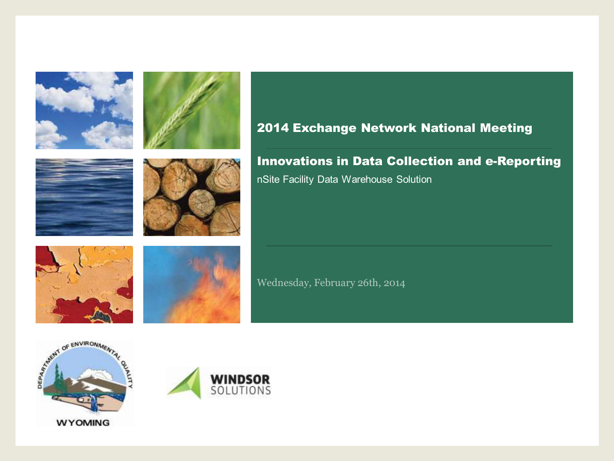







#### 2014 Exchange Network National Meeting

Innovations in Data Collection and e-Reporting nSite Facility Data Warehouse Solution





Wednesday, February 26th, 2014





**WYOMING**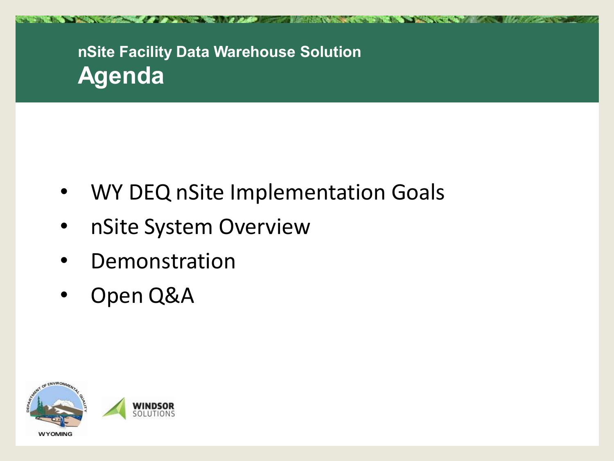## **nSite Facility Data Warehouse Solution Agenda**

• WY DEQ nSite Implementation Goals

HARRY AND SHOPLAND THE THE RESIDENCE OF THE RESIDENCE OF THE RESIDENCE OF THE RESIDENCE OF THE RESIDENCE OF THE RESIDENCE OF THE RESIDENCE OF THE RESIDENCE OF THE RESIDENCE OF THE RESIDENCE OF THE RESIDENCE OF THE RESIDENC

- nSite System Overview
- **Demonstration**
- Open Q&A

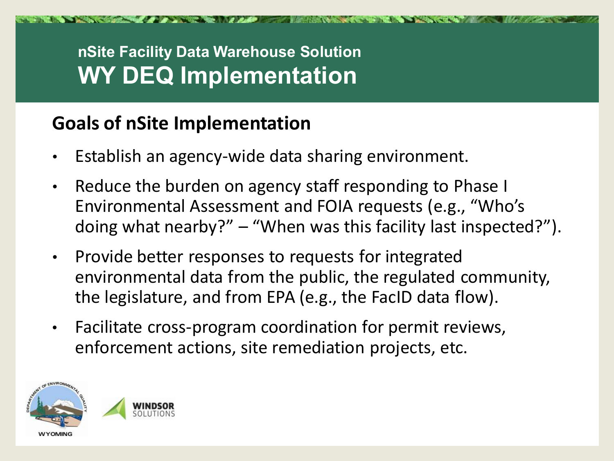### **nSite Facility Data Warehouse Solution WY DEQ Implementation**

### **Goals of nSite Implementation**

- Establish an agency-wide data sharing environment.
- Reduce the burden on agency staff responding to Phase I Environmental Assessment and FOIA requests (e.g., "Who's doing what nearby?" – "When was this facility last inspected?").
- Provide better responses to requests for integrated environmental data from the public, the regulated community, the legislature, and from EPA (e.g., the FacID data flow).
- Facilitate cross-program coordination for permit reviews, enforcement actions, site remediation projects, etc.

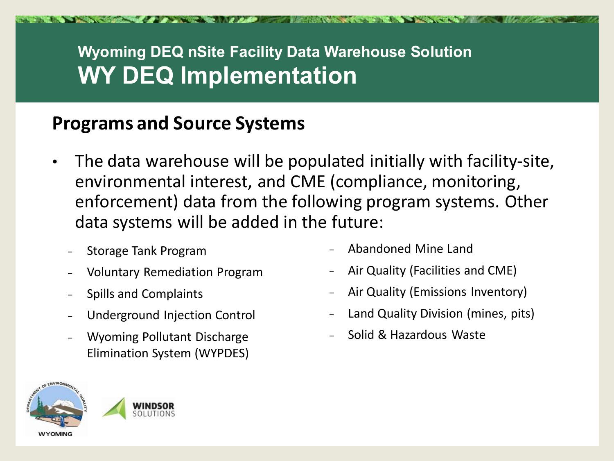### **Wyoming DEQ nSite Facility Data Warehouse Solution WY DEQ Implementation**

#### **Programs and Source Systems**

- The data warehouse will be populated initially with facility-site, environmental interest, and CME (compliance, monitoring, enforcement) data from the following program systems. Other data systems will be added in the future:
	- − Storage Tank Program
	- − Voluntary Remediation Program
	- − Spills and Complaints
	- Underground Injection Control
	- − Wyoming Pollutant Discharge Elimination System (WYPDES)
- Abandoned Mine Land
- Air Quality (Facilities and CME)
- Air Quality (Emissions Inventory)
- Land Quality Division (mines, pits)
- Solid & Hazardous Waste

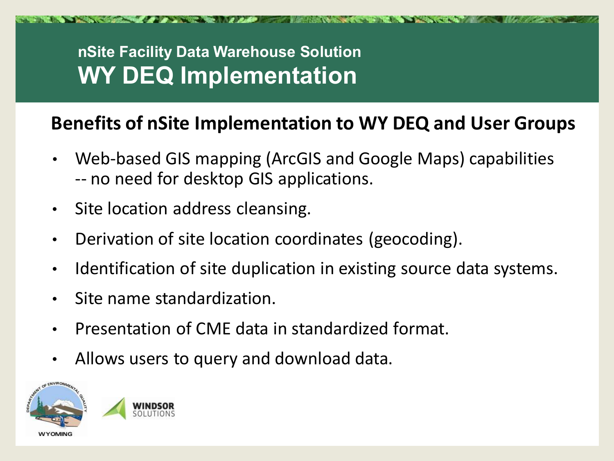### **nSite Facility Data Warehouse Solution WY DEQ Implementation**

### **Benefits of nSite Implementation to WY DEQ and User Groups**

- Web-based GIS mapping (ArcGIS and Google Maps) capabilities -- no need for desktop GIS applications.
- Site location address cleansing.
- Derivation of site location coordinates (geocoding).
- Identification of site duplication in existing source data systems.
- Site name standardization.
- Presentation of CME data in standardized format.
- Allows users to query and download data.

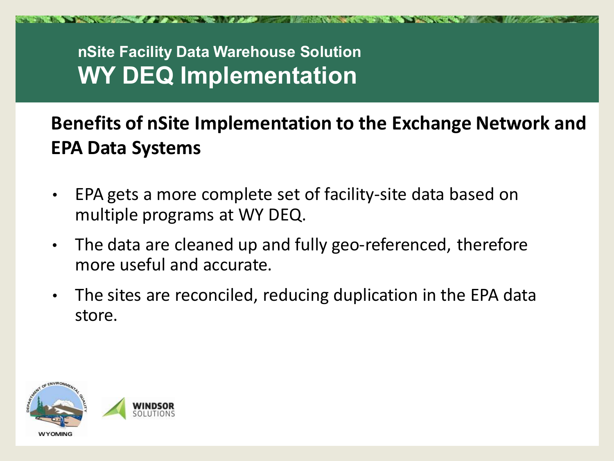### **nSite Facility Data Warehouse Solution WY DEQ Implementation**

**Benefits of nSite Implementation to the Exchange Network and EPA Data Systems**

- EPA gets a more complete set of facility-site data based on multiple programs at WY DEQ.
- The data are cleaned up and fully geo-referenced, therefore more useful and accurate.
- The sites are reconciled, reducing duplication in the EPA data store.

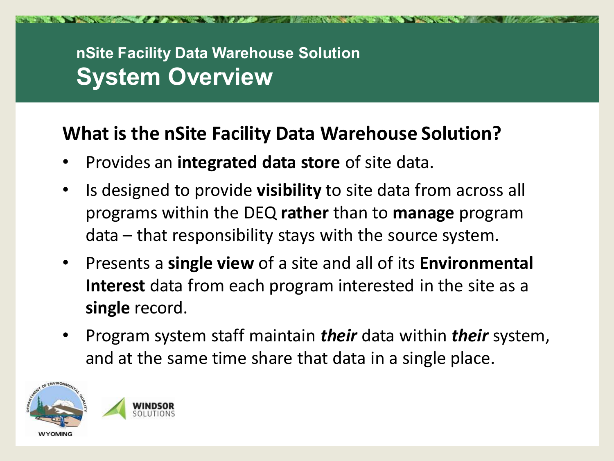### **nSite Facility Data Warehouse Solution System Overview**

#### **What is the nSite Facility Data Warehouse Solution?**

- Provides an **integrated data store** of site data.
- Is designed to provide **visibility** to site data from across all programs within the DEQ **rather** than to **manage** program data – that responsibility stays with the source system.
- Presents a **single view** of a site and all of its **Environmental Interest** data from each program interested in the site as a **single** record.
- Program system staff maintain *their* data within *their* system, and at the same time share that data in a single place.

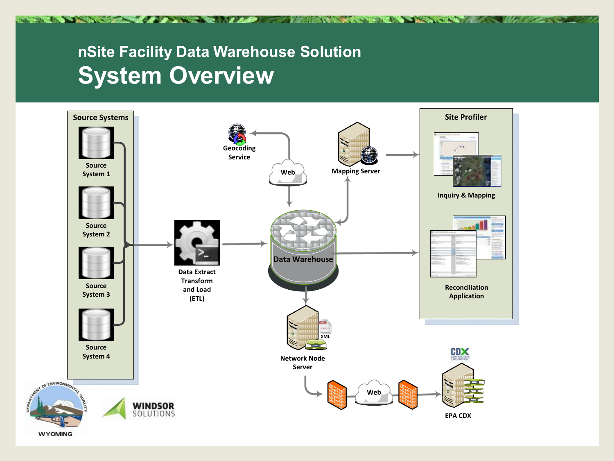### **nSite Facility Data Warehouse Solution System Overview**



CONTROL A PRODUCT OF A PRODUCT OF A PRODUCT OF A PRODUCT OF A PRODUCT OF A PRODUCT OF A PRODUCT OF A PRODUCT OF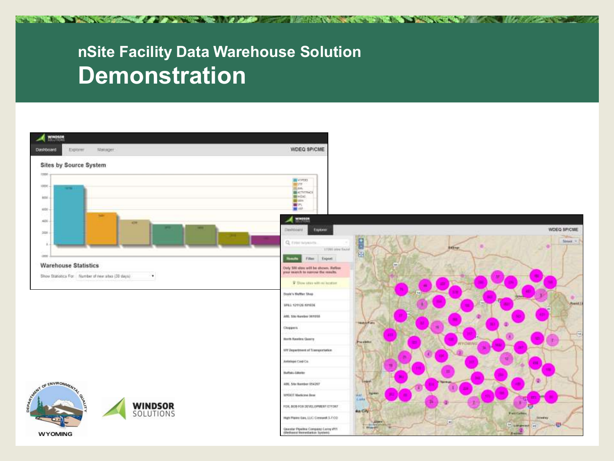### **nSite Facility Data Warehouse Solution Demonstration**



CONTROL AND CONTROL CONTROL CONTROL CONTROL CONTROL CONTROL CONTROL CONTROL CONTROL CONTROL CONTROL CONTROL CON